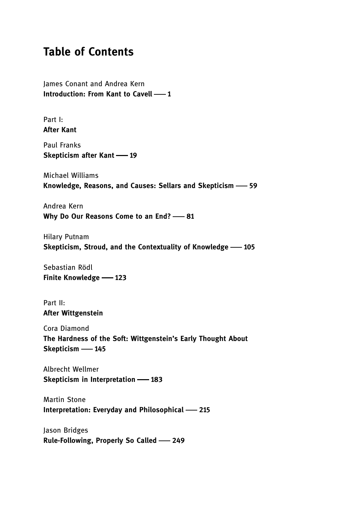# Table of Contents

James Conant and Andrea Kern Introduction: From Kant to Cavell  $-1$ 

Part I: After Kant

Paul Franks Skepticism after Kant - 19

Michael Williams Knowledge, Reasons, and Causes: Sellars and Skepticism - 59

Andrea Kern Why Do Our Reasons Come to an End?  $-81$ 

Hilary Putnam Skepticism, Stroud, and the Contextuality of Knowledge - 105

Sebastian Rödl Finite Knowledge -123

Part II: After Wittgenstein

Cora Diamond The Hardness of the Soft: Wittgenstein's Early Thought About Skepticism - 145

Albrecht Wellmer Skepticism in Interpretation - 183

Martin Stone Interpretation: Everyday and Philosophical -215

Jason Bridges Rule-Following, Properly So Called -249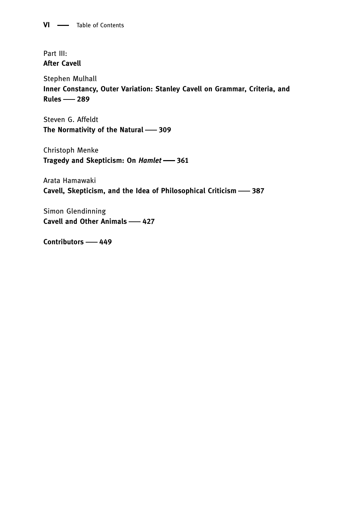Part III: After Cavell

Stephen Mulhall Inner Constancy, Outer Variation: Stanley Cavell on Grammar, Criteria, and  $Rules$  289

Steven G. Affeldt The Normativity of the Natural -309

Christoph Menke Tragedy and Skepticism: On Hamlet -861

Arata Hamawaki Cavell, Skepticism, and the Idea of Philosophical Criticism - 387

Simon Glendinning Cavell and Other Animals -427

Contributors - 449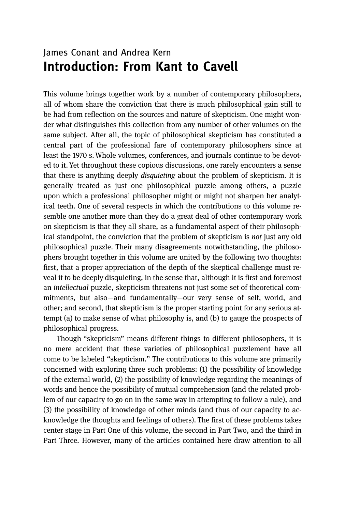# James Conant and Andrea Kern Introduction: From Kant to Cavell

This volume brings together work by a number of contemporary philosophers, all of whom share the conviction that there is much philosophical gain still to be had from reflection on the sources and nature of skepticism. One might wonder what distinguishes this collection from any number of other volumes on the same subject. After all, the topic of philosophical skepticism has constituted a central part of the professional fare of contemporary philosophers since at least the 1970 s.Whole volumes, conferences, and journals continue to be devoted to it. Yet throughout these copious discussions, one rarely encounters a sense that there is anything deeply *disquieting* about the problem of skepticism. It is generally treated as just one philosophical puzzle among others, a puzzle upon which a professional philosopher might or might not sharpen her analytical teeth. One of several respects in which the contributions to this volume resemble one another more than they do a great deal of other contemporary work on skepticism is that they all share, as a fundamental aspect of their philosophical standpoint, the conviction that the problem of skepticism is not just any old philosophical puzzle. Their many disagreements notwithstanding, the philosophers brought together in this volume are united by the following two thoughts: first, that a proper appreciation of the depth of the skeptical challenge must reveal it to be deeply disquieting, in the sense that, although it is first and foremost an intellectual puzzle, skepticism threatens not just some set of theoretical commitments, but also—and fundamentally—our very sense of self, world, and other; and second, that skepticism is the proper starting point for any serious attempt (a) to make sense of what philosophy is, and (b) to gauge the prospects of philosophical progress.

Though "skepticism" means different things to different philosophers, it is no mere accident that these varieties of philosophical puzzlement have all come to be labeled "skepticism." The contributions to this volume are primarily concerned with exploring three such problems: (1) the possibility of knowledge of the external world, (2) the possibility of knowledge regarding the meanings of words and hence the possibility of mutual comprehension (and the related problem of our capacity to go on in the same way in attempting to follow a rule), and (3) the possibility of knowledge of other minds (and thus of our capacity to acknowledge the thoughts and feelings of others). The first of these problems takes center stage in Part One of this volume, the second in Part Two, and the third in Part Three. However, many of the articles contained here draw attention to all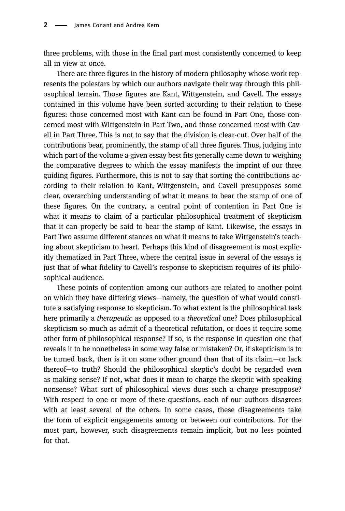three problems, with those in the final part most consistently concerned to keep all in view at once.

There are three figures in the history of modern philosophy whose work represents the polestars by which our authors navigate their way through this philosophical terrain. Those figures are Kant, Wittgenstein, and Cavell. The essays contained in this volume have been sorted according to their relation to these figures: those concerned most with Kant can be found in Part One, those concerned most with Wittgenstein in Part Two, and those concerned most with Cavell in Part Three. This is not to say that the division is clear-cut. Over half of the contributions bear, prominently, the stamp of all three figures. Thus, judging into which part of the volume a given essay best fits generally came down to weighing the comparative degrees to which the essay manifests the imprint of our three guiding figures. Furthermore, this is not to say that sorting the contributions according to their relation to Kant, Wittgenstein, and Cavell presupposes some clear, overarching understanding of what it means to bear the stamp of one of these figures. On the contrary, a central point of contention in Part One is what it means to claim of a particular philosophical treatment of skepticism that it can properly be said to bear the stamp of Kant. Likewise, the essays in Part Two assume different stances on what it means to take Wittgenstein's teaching about skepticism to heart. Perhaps this kind of disagreement is most explicitly thematized in Part Three, where the central issue in several of the essays is just that of what fidelity to Cavell's response to skepticism requires of its philosophical audience.

These points of contention among our authors are related to another point on which they have differing views—namely, the question of what would constitute a satisfying response to skepticism. To what extent is the philosophical task here primarily a *therapeutic* as opposed to a *theoretical* one? Does philosophical skepticism so much as admit of a theoretical refutation, or does it require some other form of philosophical response? If so, is the response in question one that reveals it to be nonetheless in some way false or mistaken? Or, if skepticism is to be turned back, then is it on some other ground than that of its claim—or lack thereof—to truth? Should the philosophical skeptic's doubt be regarded even as making sense? If not, what does it mean to charge the skeptic with speaking nonsense? What sort of philosophical views does such a charge presuppose? With respect to one or more of these questions, each of our authors disagrees with at least several of the others. In some cases, these disagreements take the form of explicit engagements among or between our contributors. For the most part, however, such disagreements remain implicit, but no less pointed for that.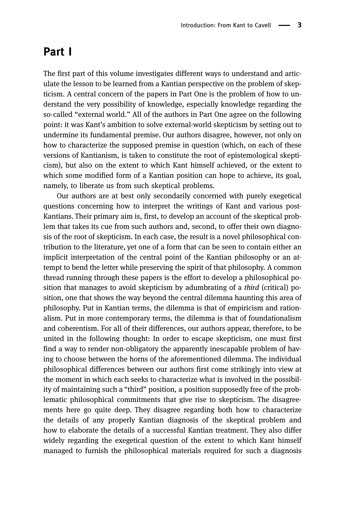#### Part I

The first part of this volume investigates different ways to understand and articulate the lesson to be learned from a Kantian perspective on the problem of skepticism. A central concern of the papers in Part One is the problem of how to understand the very possibility of knowledge, especially knowledge regarding the so-called "external world." All of the authors in Part One agree on the following point: it was Kant's ambition to solve external-world skepticism by setting out to undermine its fundamental premise. Our authors disagree, however, not only on how to characterize the supposed premise in question (which, on each of these versions of Kantianism, is taken to constitute the root of epistemological skepticism), but also on the extent to which Kant himself achieved, or the extent to which some modified form of a Kantian position can hope to achieve, its goal, namely, to liberate us from such skeptical problems.

Our authors are at best only secondarily concerned with purely exegetical questions concerning how to interpret the writings of Kant and various post-Kantians. Their primary aim is, first, to develop an account of the skeptical problem that takes its cue from such authors and, second, to offer their own diagnosis of the root of skepticism. In each case, the result is a novel philosophical contribution to the literature, yet one of a form that can be seen to contain either an implicit interpretation of the central point of the Kantian philosophy or an attempt to bend the letter while preserving the spirit of that philosophy. A common thread running through these papers is the effort to develop a philosophical position that manages to avoid skepticism by adumbrating of a third (critical) position, one that shows the way beyond the central dilemma haunting this area of philosophy. Put in Kantian terms, the dilemma is that of empiricism and rationalism. Put in more contemporary terms, the dilemma is that of foundationalism and coherentism. For all of their differences, our authors appear, therefore, to be united in the following thought: In order to escape skepticism, one must first find a way to render non-obligatory the apparently inescapable problem of having to choose between the horns of the aforementioned dilemma. The individual philosophical differences between our authors first come strikingly into view at the moment in which each seeks to characterize what is involved in the possibility of maintaining such a "third" position, a position supposedly free of the problematic philosophical commitments that give rise to skepticism. The disagreements here go quite deep. They disagree regarding both how to characterize the details of any properly Kantian diagnosis of the skeptical problem and how to elaborate the details of a successful Kantian treatment. They also differ widely regarding the exegetical question of the extent to which Kant himself managed to furnish the philosophical materials required for such a diagnosis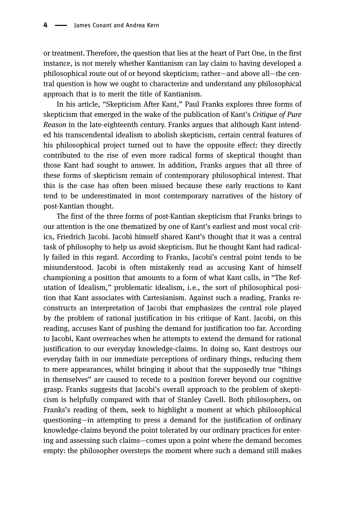or treatment. Therefore, the question that lies at the heart of Part One, in the first instance, is not merely whether Kantianism can lay claim to having developed a philosophical route out of or beyond skepticism; rather—and above all—the central question is how we ought to characterize and understand any philosophical approach that is to merit the title of Kantianism.

In his article, "Skepticism After Kant," Paul Franks explores three forms of skepticism that emerged in the wake of the publication of Kant's Critique of Pure Reason in the late-eighteenth century. Franks argues that although Kant intended his transcendental idealism to abolish skepticism, certain central features of his philosophical project turned out to have the opposite effect: they directly contributed to the rise of even more radical forms of skeptical thought than those Kant had sought to answer. In addition, Franks argues that all three of these forms of skepticism remain of contemporary philosophical interest. That this is the case has often been missed because these early reactions to Kant tend to be underestimated in most contemporary narratives of the history of post-Kantian thought.

The first of the three forms of post-Kantian skepticism that Franks brings to our attention is the one thematized by one of Kant's earliest and most vocal critics, Friedrich Jacobi. Jacobi himself shared Kant's thought that it was a central task of philosophy to help us avoid skepticism. But he thought Kant had radically failed in this regard. According to Franks, Jacobi's central point tends to be misunderstood. Jacobi is often mistakenly read as accusing Kant of himself championing a position that amounts to a form of what Kant calls, in "The Refutation of Idealism," problematic idealism, i.e., the sort of philosophical position that Kant associates with Cartesianism. Against such a reading, Franks reconstructs an interpretation of Jacobi that emphasizes the central role played by the problem of rational justification in his critique of Kant. Jacobi, on this reading, accuses Kant of pushing the demand for justification too far. According to Jacobi, Kant overreaches when he attempts to extend the demand for rational justification to our everyday knowledge-claims. In doing so, Kant destroys our everyday faith in our immediate perceptions of ordinary things, reducing them to mere appearances, whilst bringing it about that the supposedly true "things in themselves" are caused to recede to a position forever beyond our cognitive grasp. Franks suggests that Jacobi's overall approach to the problem of skepticism is helpfully compared with that of Stanley Cavell. Both philosophers, on Franks's reading of them, seek to highlight a moment at which philosophical questioning—in attempting to press a demand for the justification of ordinary knowledge-claims beyond the point tolerated by our ordinary practices for entering and assessing such claims—comes upon a point where the demand becomes empty: the philosopher oversteps the moment where such a demand still makes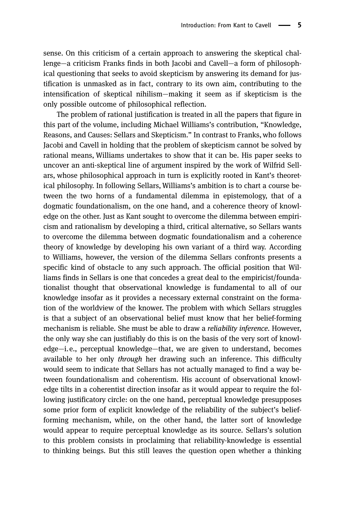sense. On this criticism of a certain approach to answering the skeptical challenge—a criticism Franks finds in both Jacobi and Cavell—a form of philosophical questioning that seeks to avoid skepticism by answering its demand for justification is unmasked as in fact, contrary to its own aim, contributing to the intensification of skeptical nihilism—making it seem as if skepticism is the only possible outcome of philosophical reflection.

The problem of rational justification is treated in all the papers that figure in this part of the volume, including Michael Williams's contribution, "Knowledge, Reasons, and Causes: Sellars and Skepticism." In contrast to Franks, who follows Jacobi and Cavell in holding that the problem of skepticism cannot be solved by rational means, Williams undertakes to show that it can be. His paper seeks to uncover an anti-skeptical line of argument inspired by the work of Wilfrid Sellars, whose philosophical approach in turn is explicitly rooted in Kant's theoretical philosophy. In following Sellars, Williams's ambition is to chart a course between the two horns of a fundamental dilemma in epistemology, that of a dogmatic foundationalism, on the one hand, and a coherence theory of knowledge on the other. Just as Kant sought to overcome the dilemma between empiricism and rationalism by developing a third, critical alternative, so Sellars wants to overcome the dilemma between dogmatic foundationalism and a coherence theory of knowledge by developing his own variant of a third way. According to Williams, however, the version of the dilemma Sellars confronts presents a specific kind of obstacle to any such approach. The official position that Williams finds in Sellars is one that concedes a great deal to the empiricist/foundationalist thought that observational knowledge is fundamental to all of our knowledge insofar as it provides a necessary external constraint on the formation of the worldview of the knower. The problem with which Sellars struggles is that a subject of an observational belief must know that her belief-forming mechanism is reliable. She must be able to draw a *reliability inference*. However, the only way she can justifiably do this is on the basis of the very sort of knowledge—i.e., perceptual knowledge—that, we are given to understand, becomes available to her only through her drawing such an inference. This difficulty would seem to indicate that Sellars has not actually managed to find a way between foundationalism and coherentism. His account of observational knowledge tilts in a coherentist direction insofar as it would appear to require the following justificatory circle: on the one hand, perceptual knowledge presupposes some prior form of explicit knowledge of the reliability of the subject's beliefforming mechanism, while, on the other hand, the latter sort of knowledge would appear to require perceptual knowledge as its source. Sellars's solution to this problem consists in proclaiming that reliability-knowledge is essential to thinking beings. But this still leaves the question open whether a thinking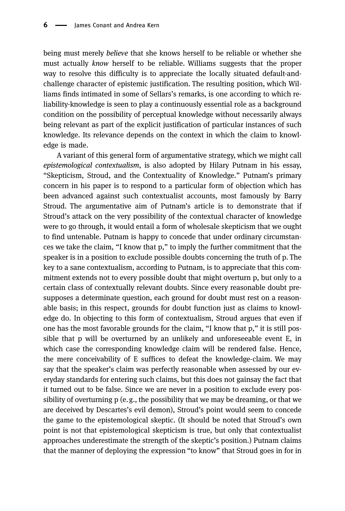being must merely believe that she knows herself to be reliable or whether she must actually know herself to be reliable. Williams suggests that the proper way to resolve this difficulty is to appreciate the locally situated default-andchallenge character of epistemic justification. The resulting position, which Williams finds intimated in some of Sellars's remarks, is one according to which reliability-knowledge is seen to play a continuously essential role as a background condition on the possibility of perceptual knowledge without necessarily always being relevant as part of the explicit justification of particular instances of such knowledge. Its relevance depends on the context in which the claim to knowledge is made.

A variant of this general form of argumentative strategy, which we might call epistemological contextualism, is also adopted by Hilary Putnam in his essay, "Skepticism, Stroud, and the Contextuality of Knowledge." Putnam's primary concern in his paper is to respond to a particular form of objection which has been advanced against such contextualist accounts, most famously by Barry Stroud. The argumentative aim of Putnam's article is to demonstrate that if Stroud's attack on the very possibility of the contextual character of knowledge were to go through, it would entail a form of wholesale skepticism that we ought to find untenable. Putnam is happy to concede that under ordinary circumstances we take the claim, "I know that p," to imply the further commitment that the speaker is in a position to exclude possible doubts concerning the truth of p. The key to a sane contextualism, according to Putnam, is to appreciate that this commitment extends not to every possible doubt that might overturn p, but only to a certain class of contextually relevant doubts. Since every reasonable doubt presupposes a determinate question, each ground for doubt must rest on a reasonable basis; in this respect, grounds for doubt function just as claims to knowledge do. In objecting to this form of contextualism, Stroud argues that even if one has the most favorable grounds for the claim, "I know that p," it is still possible that p will be overturned by an unlikely and unforeseeable event E, in which case the corresponding knowledge claim will be rendered false. Hence, the mere conceivability of E suffices to defeat the knowledge-claim. We may say that the speaker's claim was perfectly reasonable when assessed by our everyday standards for entering such claims, but this does not gainsay the fact that it turned out to be false. Since we are never in a position to exclude every possibility of overturning p (e. g., the possibility that we may be dreaming, or that we are deceived by Descartes's evil demon), Stroud's point would seem to concede the game to the epistemological skeptic. (It should be noted that Stroud's own point is not that epistemological skepticism is true, but only that contextualist approaches underestimate the strength of the skeptic's position.) Putnam claims that the manner of deploying the expression "to know" that Stroud goes in for in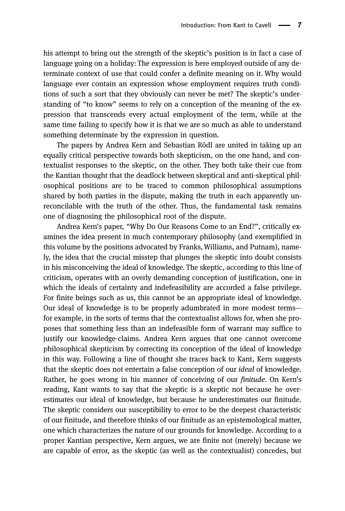his attempt to bring out the strength of the skeptic's position is in fact a case of language going on a holiday: The expression is here employed outside of any determinate context of use that could confer a definite meaning on it. Why would language ever contain an expression whose employment requires truth conditions of such a sort that they obviously can never be met? The skeptic's understanding of "to know" seems to rely on a conception of the meaning of the expression that transcends every actual employment of the term, while at the same time failing to specify how it is that we are so much as able to understand something determinate by the expression in question.

The papers by Andrea Kern and Sebastian Rödl are united in taking up an equally critical perspective towards both skepticism, on the one hand, and contextualist responses to the skeptic, on the other. They both take their cue from the Kantian thought that the deadlock between skeptical and anti-skeptical philosophical positions are to be traced to common philosophical assumptions shared by both parties in the dispute, making the truth in each apparently unreconcilable with the truth of the other. Thus, the fundamental task remains one of diagnosing the philosophical root of the dispute.

Andrea Kern's paper, "Why Do Our Reasons Come to an End?", critically examines the idea present in much contemporary philosophy (and exemplified in this volume by the positions advocated by Franks,Williams, and Putnam), namely, the idea that the crucial misstep that plunges the skeptic into doubt consists in his misconceiving the ideal of knowledge. The skeptic, according to this line of criticism, operates with an overly demanding conception of justification, one in which the ideals of certainty and indefeasibility are accorded a false privilege. For finite beings such as us, this cannot be an appropriate ideal of knowledge. Our ideal of knowledge is to be properly adumbrated in more modest terms for example, in the sorts of terms that the contextualist allows for, when she proposes that something less than an indefeasible form of warrant may suffice to justify our knowledge-claims. Andrea Kern argues that one cannot overcome philosophical skepticism by correcting its conception of the ideal of knowledge in this way. Following a line of thought she traces back to Kant, Kern suggests that the skeptic does not entertain a false conception of our ideal of knowledge. Rather, he goes wrong in his manner of conceiving of our finitude. On Kern's reading, Kant wants to say that the skeptic is a skeptic not because he overestimates our ideal of knowledge, but because he underestimates our finitude. The skeptic considers our susceptibility to error to be the deepest characteristic of our finitude, and therefore thinks of our finitude as an epistemological matter, one which characterizes the nature of our grounds for knowledge. According to a proper Kantian perspective, Kern argues, we are finite not (merely) because we are capable of error, as the skeptic (as well as the contextualist) concedes, but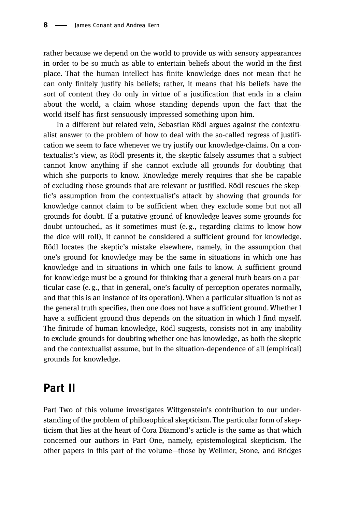rather because we depend on the world to provide us with sensory appearances in order to be so much as able to entertain beliefs about the world in the first place. That the human intellect has finite knowledge does not mean that he can only finitely justify his beliefs; rather, it means that his beliefs have the sort of content they do only in virtue of a justification that ends in a claim about the world, a claim whose standing depends upon the fact that the world itself has first sensuously impressed something upon him.

In a different but related vein, Sebastian Rödl argues against the contextualist answer to the problem of how to deal with the so-called regress of justification we seem to face whenever we try justify our knowledge-claims. On a contextualist's view, as Rödl presents it, the skeptic falsely assumes that a subject cannot know anything if she cannot exclude all grounds for doubting that which she purports to know. Knowledge merely requires that she be capable of excluding those grounds that are relevant or justified. Rödl rescues the skeptic's assumption from the contextualist's attack by showing that grounds for knowledge cannot claim to be sufficient when they exclude some but not all grounds for doubt. If a putative ground of knowledge leaves some grounds for doubt untouched, as it sometimes must (e. g., regarding claims to know how the dice will roll), it cannot be considered a sufficient ground for knowledge. Rödl locates the skeptic's mistake elsewhere, namely, in the assumption that one's ground for knowledge may be the same in situations in which one has knowledge and in situations in which one fails to know. A sufficient ground for knowledge must be a ground for thinking that a general truth bears on a particular case (e. g., that in general, one's faculty of perception operates normally, and that this is an instance of its operation).When a particular situation is not as the general truth specifies, then one does not have a sufficient ground.Whether I have a sufficient ground thus depends on the situation in which I find myself. The finitude of human knowledge, Rödl suggests, consists not in any inability to exclude grounds for doubting whether one has knowledge, as both the skeptic and the contextualist assume, but in the situation-dependence of all (empirical) grounds for knowledge.

### Part II

Part Two of this volume investigates Wittgenstein's contribution to our understanding of the problem of philosophical skepticism. The particular form of skepticism that lies at the heart of Cora Diamond's article is the same as that which concerned our authors in Part One, namely, epistemological skepticism. The other papers in this part of the volume—those by Wellmer, Stone, and Bridges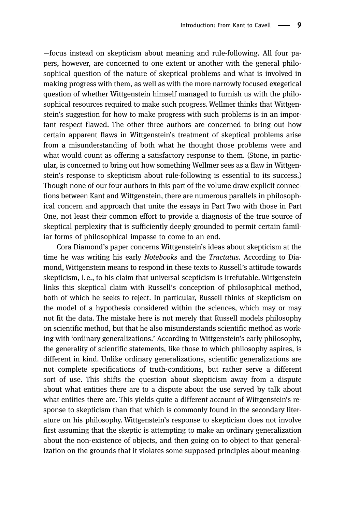—focus instead on skepticism about meaning and rule-following. All four papers, however, are concerned to one extent or another with the general philosophical question of the nature of skeptical problems and what is involved in making progress with them, as well as with the more narrowly focused exegetical question of whether Wittgenstein himself managed to furnish us with the philosophical resources required to make such progress. Wellmer thinks that Wittgenstein's suggestion for how to make progress with such problems is in an important respect flawed. The other three authors are concerned to bring out how certain apparent flaws in Wittgenstein's treatment of skeptical problems arise from a misunderstanding of both what he thought those problems were and what would count as offering a satisfactory response to them. (Stone, in particular, is concerned to bring out how something Wellmer sees as a flaw in Wittgenstein's response to skepticism about rule-following is essential to its success.) Though none of our four authors in this part of the volume draw explicit connections between Kant and Wittgenstein, there are numerous parallels in philosophical concern and approach that unite the essays in Part Two with those in Part One, not least their common effort to provide a diagnosis of the true source of skeptical perplexity that is sufficiently deeply grounded to permit certain familiar forms of philosophical impasse to come to an end.

Cora Diamond's paper concerns Wittgenstein's ideas about skepticism at the time he was writing his early Notebooks and the Tractatus. According to Diamond, Wittgenstein means to respond in these texts to Russell's attitude towards skepticism, i.e., to his claim that universal scepticism is irrefutable. Wittgenstein links this skeptical claim with Russell's conception of philosophical method, both of which he seeks to reject. In particular, Russell thinks of skepticism on the model of a hypothesis considered within the sciences, which may or may not fit the data. The mistake here is not merely that Russell models philosophy on scientific method, but that he also misunderstands scientific method as working with 'ordinary generalizations.' According to Wittgenstein's early philosophy, the generality of scientific statements, like those to which philosophy aspires, is different in kind. Unlike ordinary generalizations, scientific generalizations are not complete specifications of truth-conditions, but rather serve a different sort of use. This shifts the question about skepticism away from a dispute about what entities there are to a dispute about the use served by talk about what entities there are. This yields quite a different account of Wittgenstein's response to skepticism than that which is commonly found in the secondary literature on his philosophy. Wittgenstein's response to skepticism does not involve first assuming that the skeptic is attempting to make an ordinary generalization about the non-existence of objects, and then going on to object to that generalization on the grounds that it violates some supposed principles about meaning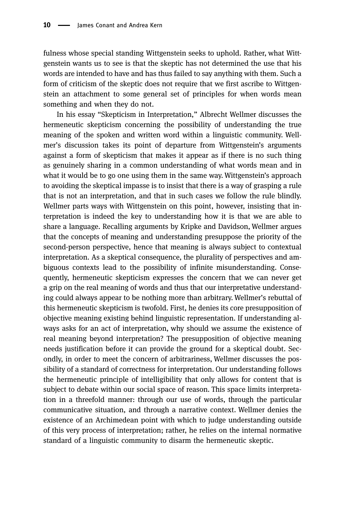fulness whose special standing Wittgenstein seeks to uphold. Rather, what Wittgenstein wants us to see is that the skeptic has not determined the use that his words are intended to have and has thus failed to say anything with them. Such a form of criticism of the skeptic does not require that we first ascribe to Wittgenstein an attachment to some general set of principles for when words mean something and when they do not.

In his essay "Skepticism in Interpretation," Albrecht Wellmer discusses the hermeneutic skepticism concerning the possibility of understanding the true meaning of the spoken and written word within a linguistic community. Wellmer's discussion takes its point of departure from Wittgenstein's arguments against a form of skepticism that makes it appear as if there is no such thing as genuinely sharing in a common understanding of what words mean and in what it would be to go one using them in the same way. Wittgenstein's approach to avoiding the skeptical impasse is to insist that there is a way of grasping a rule that is not an interpretation, and that in such cases we follow the rule blindly. Wellmer parts ways with Wittgenstein on this point, however, insisting that interpretation is indeed the key to understanding how it is that we are able to share a language. Recalling arguments by Kripke and Davidson, Wellmer argues that the concepts of meaning and understanding presuppose the priority of the second-person perspective, hence that meaning is always subject to contextual interpretation. As a skeptical consequence, the plurality of perspectives and ambiguous contexts lead to the possibility of infinite misunderstanding. Consequently, hermeneutic skepticism expresses the concern that we can never get a grip on the real meaning of words and thus that our interpretative understanding could always appear to be nothing more than arbitrary. Wellmer's rebuttal of this hermeneutic skepticism is twofold. First, he denies its core presupposition of objective meaning existing behind linguistic representation. If understanding always asks for an act of interpretation, why should we assume the existence of real meaning beyond interpretation? The presupposition of objective meaning needs justification before it can provide the ground for a skeptical doubt. Secondly, in order to meet the concern of arbitrariness, Wellmer discusses the possibility of a standard of correctness for interpretation. Our understanding follows the hermeneutic principle of intelligibility that only allows for content that is subject to debate within our social space of reason. This space limits interpretation in a threefold manner: through our use of words, through the particular communicative situation, and through a narrative context. Wellmer denies the existence of an Archimedean point with which to judge understanding outside of this very process of interpretation; rather, he relies on the internal normative standard of a linguistic community to disarm the hermeneutic skeptic.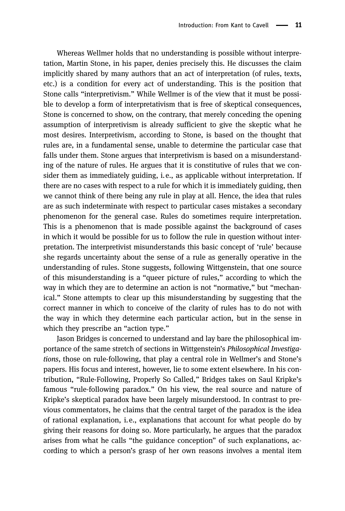Whereas Wellmer holds that no understanding is possible without interpretation, Martin Stone, in his paper, denies precisely this. He discusses the claim implicitly shared by many authors that an act of interpretation (of rules, texts, etc.) is a condition for every act of understanding. This is the position that Stone calls "interpretivism." While Wellmer is of the view that it must be possible to develop a form of interpretativism that is free of skeptical consequences, Stone is concerned to show, on the contrary, that merely conceding the opening assumption of interpretivism is already sufficient to give the skeptic what he most desires. Interpretivism, according to Stone, is based on the thought that rules are, in a fundamental sense, unable to determine the particular case that falls under them. Stone argues that interpretivism is based on a misunderstanding of the nature of rules. He argues that it is constitutive of rules that we consider them as immediately guiding, i.e., as applicable without interpretation. If there are no cases with respect to a rule for which it is immediately guiding, then we cannot think of there being any rule in play at all. Hence, the idea that rules are as such indeterminate with respect to particular cases mistakes a secondary phenomenon for the general case. Rules do sometimes require interpretation. This is a phenomenon that is made possible against the background of cases in which it would be possible for us to follow the rule in question without interpretation. The interpretivist misunderstands this basic concept of 'rule' because she regards uncertainty about the sense of a rule as generally operative in the understanding of rules. Stone suggests, following Wittgenstein, that one source of this misunderstanding is a "queer picture of rules," according to which the way in which they are to determine an action is not "normative," but "mechanical." Stone attempts to clear up this misunderstanding by suggesting that the correct manner in which to conceive of the clarity of rules has to do not with the way in which they determine each particular action, but in the sense in which they prescribe an "action type."

Jason Bridges is concerned to understand and lay bare the philosophical importance of the same stretch of sections in Wittgenstein's Philosophical Investigations, those on rule-following, that play a central role in Wellmer's and Stone's papers. His focus and interest, however, lie to some extent elsewhere. In his contribution, "Rule-Following, Properly So Called," Bridges takes on Saul Kripke's famous "rule-following paradox." On his view, the real source and nature of Kripke's skeptical paradox have been largely misunderstood. In contrast to previous commentators, he claims that the central target of the paradox is the idea of rational explanation, i.e., explanations that account for what people do by giving their reasons for doing so. More particularly, he argues that the paradox arises from what he calls "the guidance conception" of such explanations, according to which a person's grasp of her own reasons involves a mental item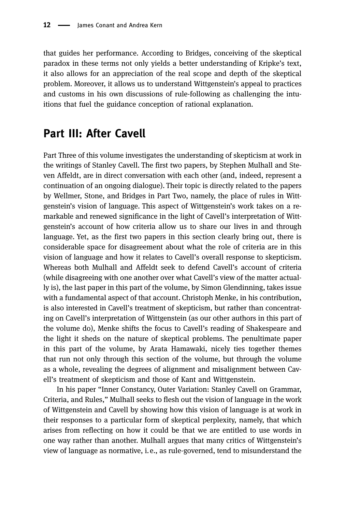that guides her performance. According to Bridges, conceiving of the skeptical paradox in these terms not only yields a better understanding of Kripke's text, it also allows for an appreciation of the real scope and depth of the skeptical problem. Moreover, it allows us to understand Wittgenstein's appeal to practices and customs in his own discussions of rule-following as challenging the intuitions that fuel the guidance conception of rational explanation.

### Part III: After Cavell

Part Three of this volume investigates the understanding of skepticism at work in the writings of Stanley Cavell. The first two papers, by Stephen Mulhall and Steven Affeldt, are in direct conversation with each other (and, indeed, represent a continuation of an ongoing dialogue). Their topic is directly related to the papers by Wellmer, Stone, and Bridges in Part Two, namely, the place of rules in Wittgenstein's vision of language. This aspect of Wittgenstein's work takes on a remarkable and renewed significance in the light of Cavell's interpretation of Wittgenstein's account of how criteria allow us to share our lives in and through language. Yet, as the first two papers in this section clearly bring out, there is considerable space for disagreement about what the role of criteria are in this vision of language and how it relates to Cavell's overall response to skepticism. Whereas both Mulhall and Affeldt seek to defend Cavell's account of criteria (while disagreeing with one another over what Cavell's view of the matter actually is), the last paper in this part of the volume, by Simon Glendinning, takes issue with a fundamental aspect of that account. Christoph Menke, in his contribution, is also interested in Cavell's treatment of skepticism, but rather than concentrating on Cavell's interpretation of Wittgenstein (as our other authors in this part of the volume do), Menke shifts the focus to Cavell's reading of Shakespeare and the light it sheds on the nature of skeptical problems. The penultimate paper in this part of the volume, by Arata Hamawaki, nicely ties together themes that run not only through this section of the volume, but through the volume as a whole, revealing the degrees of alignment and misalignment between Cavell's treatment of skepticism and those of Kant and Wittgenstein.

In his paper "Inner Constancy, Outer Variation: Stanley Cavell on Grammar, Criteria, and Rules," Mulhall seeks to flesh out the vision of language in the work of Wittgenstein and Cavell by showing how this vision of language is at work in their responses to a particular form of skeptical perplexity, namely, that which arises from reflecting on how it could be that we are entitled to use words in one way rather than another. Mulhall argues that many critics of Wittgenstein's view of language as normative, i.e., as rule-governed, tend to misunderstand the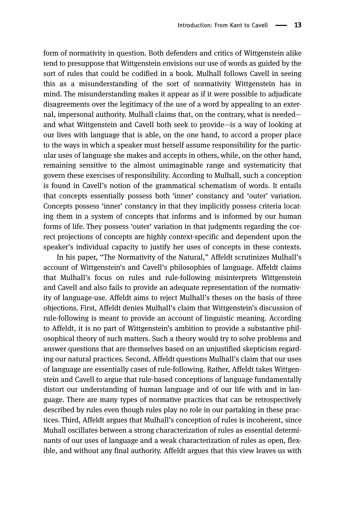form of normativity in question. Both defenders and critics of Wittgenstein alike tend to presuppose that Wittgenstein envisions our use of words as guided by the sort of rules that could be codified in a book. Mulhall follows Cavell in seeing this as a misunderstanding of the sort of normativity Wittgenstein has in mind. The misunderstanding makes it appear as if it were possible to adjudicate disagreements over the legitimacy of the use of a word by appealing to an external, impersonal authority. Mulhall claims that, on the contrary, what is needed and what Wittgenstein and Cavell both seek to provide—is a way of looking at our lives with language that is able, on the one hand, to accord a proper place to the ways in which a speaker must herself assume responsibility for the particular uses of language she makes and accepts in others, while, on the other hand, remaining sensitive to the almost unimaginable range and systematicity that govern these exercises of responsibility. According to Mulhall, such a conception is found in Cavell's notion of the grammatical schematism of words. It entails that concepts essentially possess both 'inner' constancy and 'outer' variation. Concepts possess 'inner' constancy in that they implicitly possess criteria locating them in a system of concepts that informs and is informed by our human forms of life. They possess 'outer' variation in that judgments regarding the correct projections of concepts are highly context-specific and dependent upon the speaker's individual capacity to justify her uses of concepts in these contexts.

In his paper, "The Normativity of the Natural," Affeldt scrutinizes Mulhall's account of Wittgenstein's and Cavell's philosophies of language. Affeldt claims that Mulhall's focus on rules and rule-following misinterprets Wittgenstein and Cavell and also fails to provide an adequate representation of the normativity of language-use. Affeldt aims to reject Mulhall's theses on the basis of three objections. First, Affeldt denies Mulhall's claim that Wittgenstein's discussion of rule-following is meant to provide an account of linguistic meaning. According to Affeldt, it is no part of Wittgenstein's ambition to provide a substantive philosophical theory of such matters. Such a theory would try to solve problems and answer questions that are themselves based on an unjustified skepticism regarding our natural practices. Second, Affeldt questions Mulhall's claim that our uses of language are essentially cases of rule-following. Rather, Affeldt takes Wittgenstein and Cavell to argue that rule-based conceptions of language fundamentally distort our understanding of human language and of our life with and in language. There are many types of normative practices that can be retrospectively described by rules even though rules play no role in our partaking in these practices. Third, Affeldt argues that Mulhall's conception of rules is incoherent, since Muhall oscillates between a strong characterization of rules as essential determinants of our uses of language and a weak characterization of rules as open, flexible, and without any final authority. Affeldt argues that this view leaves us with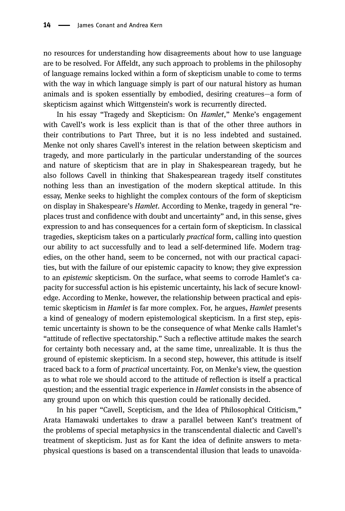no resources for understanding how disagreements about how to use language are to be resolved. For Affeldt, any such approach to problems in the philosophy of language remains locked within a form of skepticism unable to come to terms with the way in which language simply is part of our natural history as human animals and is spoken essentially by embodied, desiring creatures—a form of skepticism against which Wittgenstein's work is recurrently directed.

In his essay "Tragedy and Skepticism: On Hamlet," Menke's engagement with Cavell's work is less explicit than is that of the other three authors in their contributions to Part Three, but it is no less indebted and sustained. Menke not only shares Cavell's interest in the relation between skepticism and tragedy, and more particularly in the particular understanding of the sources and nature of skepticism that are in play in Shakespearean tragedy, but he also follows Cavell in thinking that Shakespearean tragedy itself constitutes nothing less than an investigation of the modern skeptical attitude. In this essay, Menke seeks to highlight the complex contours of the form of skepticism on display in Shakespeare's Hamlet. According to Menke, tragedy in general "replaces trust and confidence with doubt and uncertainty" and, in this sense, gives expression to and has consequences for a certain form of skepticism. In classical tragedies, skepticism takes on a particularly practical form, calling into question our ability to act successfully and to lead a self-determined life. Modern tragedies, on the other hand, seem to be concerned, not with our practical capacities, but with the failure of our epistemic capacity to know; they give expression to an epistemic skepticism. On the surface, what seems to corrode Hamlet's capacity for successful action is his epistemic uncertainty, his lack of secure knowledge. According to Menke, however, the relationship between practical and epistemic skepticism in Hamlet is far more complex. For, he argues, Hamlet presents a kind of genealogy of modern epistemological skepticism. In a first step, epistemic uncertainty is shown to be the consequence of what Menke calls Hamlet's "attitude of reflective spectatorship." Such a reflective attitude makes the search for certainty both necessary and, at the same time, unrealizable. It is thus the ground of epistemic skepticism. In a second step, however, this attitude is itself traced back to a form of practical uncertainty. For, on Menke's view, the question as to what role we should accord to the attitude of reflection is itself a practical question; and the essential tragic experience in *Hamlet* consists in the absence of any ground upon on which this question could be rationally decided.

In his paper "Cavell, Scepticism, and the Idea of Philosophical Criticism," Arata Hamawaki undertakes to draw a parallel between Kant's treatment of the problems of special metaphysics in the transcendental dialectic and Cavell's treatment of skepticism. Just as for Kant the idea of definite answers to metaphysical questions is based on a transcendental illusion that leads to unavoida